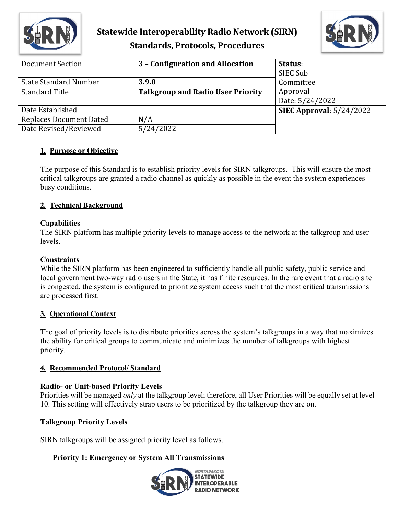

## **Statewide Interoperability Radio Network (SIRN) Standards, Protocols, Procedures**



| Document Section               | 3 - Configuration and Allocation         | Status:                    |
|--------------------------------|------------------------------------------|----------------------------|
|                                |                                          | SIEC Sub                   |
| <b>State Standard Number</b>   | 3.9.0                                    | Committee                  |
| <b>Standard Title</b>          | <b>Talkgroup and Radio User Priority</b> | Approval                   |
|                                |                                          | Date: 5/24/2022            |
| Date Established               |                                          | SIEC Approval: $5/24/2022$ |
| <b>Replaces Document Dated</b> | N/A                                      |                            |
| Date Revised/Reviewed          | 5/24/2022                                |                            |

## **1. Purpose or Objective**

The purpose of this Standard is to establish priority levels for SIRN talkgroups. This will ensure the most critical talkgroups are granted a radio channel as quickly as possible in the event the system experiences busy conditions.

## **2. Technical Background**

## **Capabilities**

The SIRN platform has multiple priority levels to manage access to the network at the talkgroup and user levels.

#### **Constraints**

While the SIRN platform has been engineered to sufficiently handle all public safety, public service and local government two-way radio users in the State, it has finite resources. In the rare event that a radio site is congested, the system is configured to prioritize system access such that the most critical transmissions are processed first.

## **3. Operational Context**

The goal of priority levels is to distribute priorities across the system's talkgroups in a way that maximizes the ability for critical groups to communicate and minimizes the number of talkgroups with highest priority.

## **4. Recommended Protocol/ Standard**

#### **Radio- or Unit-based Priority Levels**

Priorities will be managed *only* at the talkgroup level; therefore, all User Priorities will be equally set at level 10. This setting will effectively strap users to be prioritized by the talkgroup they are on.

## **Talkgroup Priority Levels**

SIRN talkgroups will be assigned priority level as follows.

## **Priority 1: Emergency or System All Transmissions**

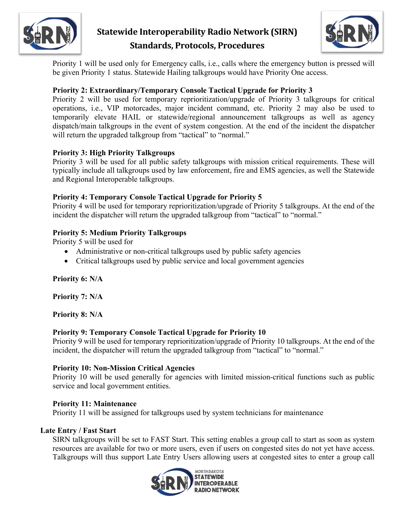

## **Statewide Interoperability Radio Network (SIRN) Standards, Protocols, Procedures**



Priority 1 will be used only for Emergency calls, i.e., calls where the emergency button is pressed will be given Priority 1 status. Statewide Hailing talkgroups would have Priority One access.

## **Priority 2: Extraordinary/Temporary Console Tactical Upgrade for Priority 3**

Priority 2 will be used for temporary reprioritization/upgrade of Priority 3 talkgroups for critical operations, i.e., VIP motorcades, major incident command, etc. Priority 2 may also be used to temporarily elevate HAIL or statewide/regional announcement talkgroups as well as agency dispatch/main talkgroups in the event of system congestion. At the end of the incident the dispatcher will return the upgraded talkgroup from "tactical" to "normal."

## **Priority 3: High Priority Talkgroups**

Priority 3 will be used for all public safety talkgroups with mission critical requirements. These will typically include all talkgroups used by law enforcement, fire and EMS agencies, as well the Statewide and Regional Interoperable talkgroups.

#### **Priority 4: Temporary Console Tactical Upgrade for Priority 5**

Priority 4 will be used for temporary reprioritization/upgrade of Priority 5 talkgroups. At the end of the incident the dispatcher will return the upgraded talkgroup from "tactical" to "normal."

#### **Priority 5: Medium Priority Talkgroups**

Priority 5 will be used for

- Administrative or non-critical talkgroups used by public safety agencies
- Critical talkgroups used by public service and local government agencies

**Priority 6: N/A**

**Priority 7: N/A**

**Priority 8: N/A**

## **Priority 9: Temporary Console Tactical Upgrade for Priority 10**

Priority 9 will be used for temporary reprioritization/upgrade of Priority 10 talkgroups. At the end of the incident, the dispatcher will return the upgraded talkgroup from "tactical" to "normal."

#### **Priority 10: Non-Mission Critical Agencies**

Priority 10 will be used generally for agencies with limited mission-critical functions such as public service and local government entities.

#### **Priority 11: Maintenance**

Priority 11 will be assigned for talkgroups used by system technicians for maintenance

#### **Late Entry / Fast Start**

SIRN talkgroups will be set to FAST Start. This setting enables a group call to start as soon as system resources are available for two or more users, even if users on congested sites do not yet have access. Talkgroups will thus support Late Entry Users allowing users at congested sites to enter a group call